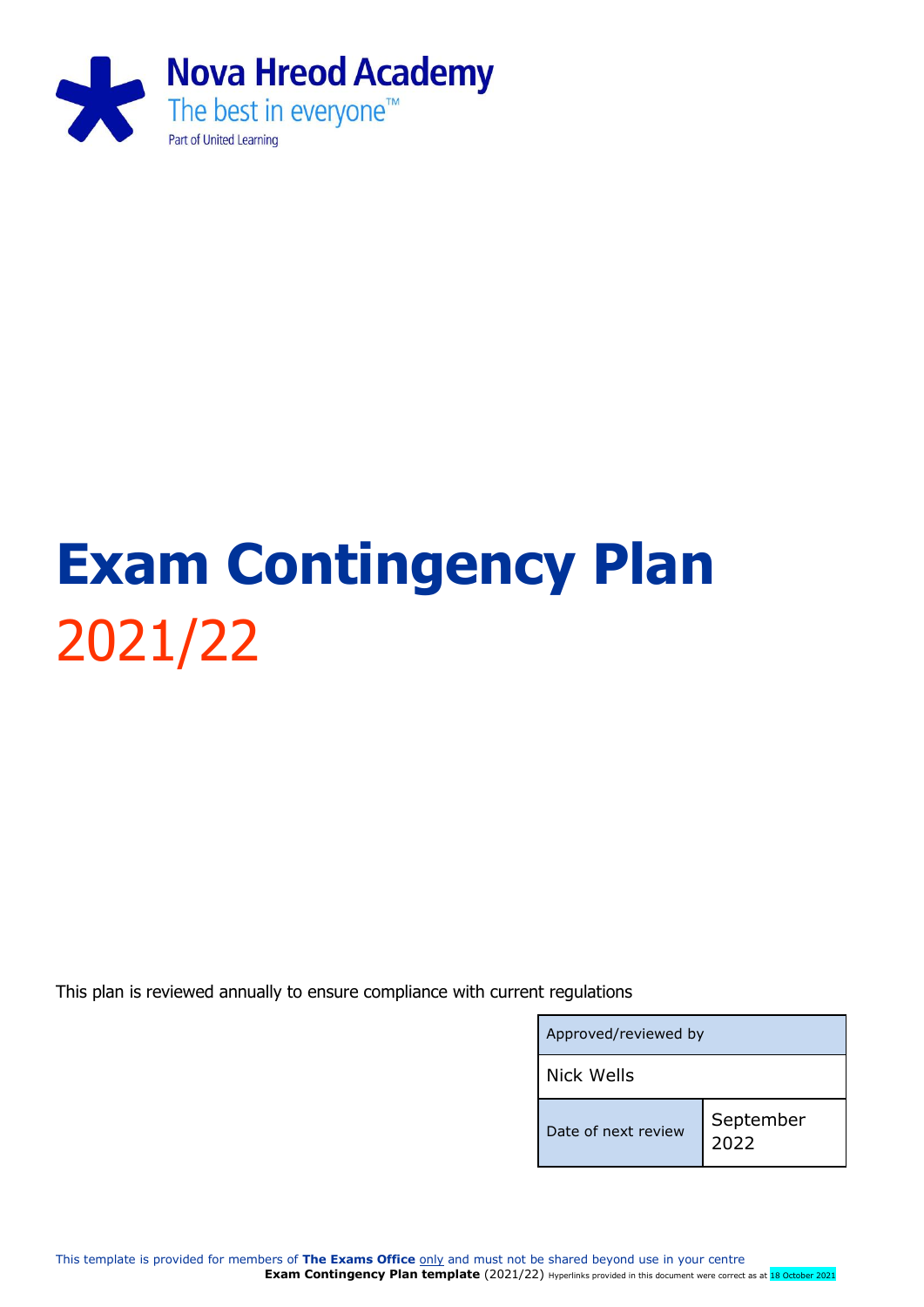

# **Exam Contingency Plan** 2021/22

This plan is reviewed annually to ensure compliance with current regulations

| Approved/reviewed by |                   |  |
|----------------------|-------------------|--|
| <b>Nick Wells</b>    |                   |  |
| Date of next review  | September<br>2022 |  |

This template is provided for members of **The Exams Office** only and must not be shared beyond use in your centre **Exam Contingency Plan template** (2021/22) Hyperlinks provided in this document were correct as at 18 October 2021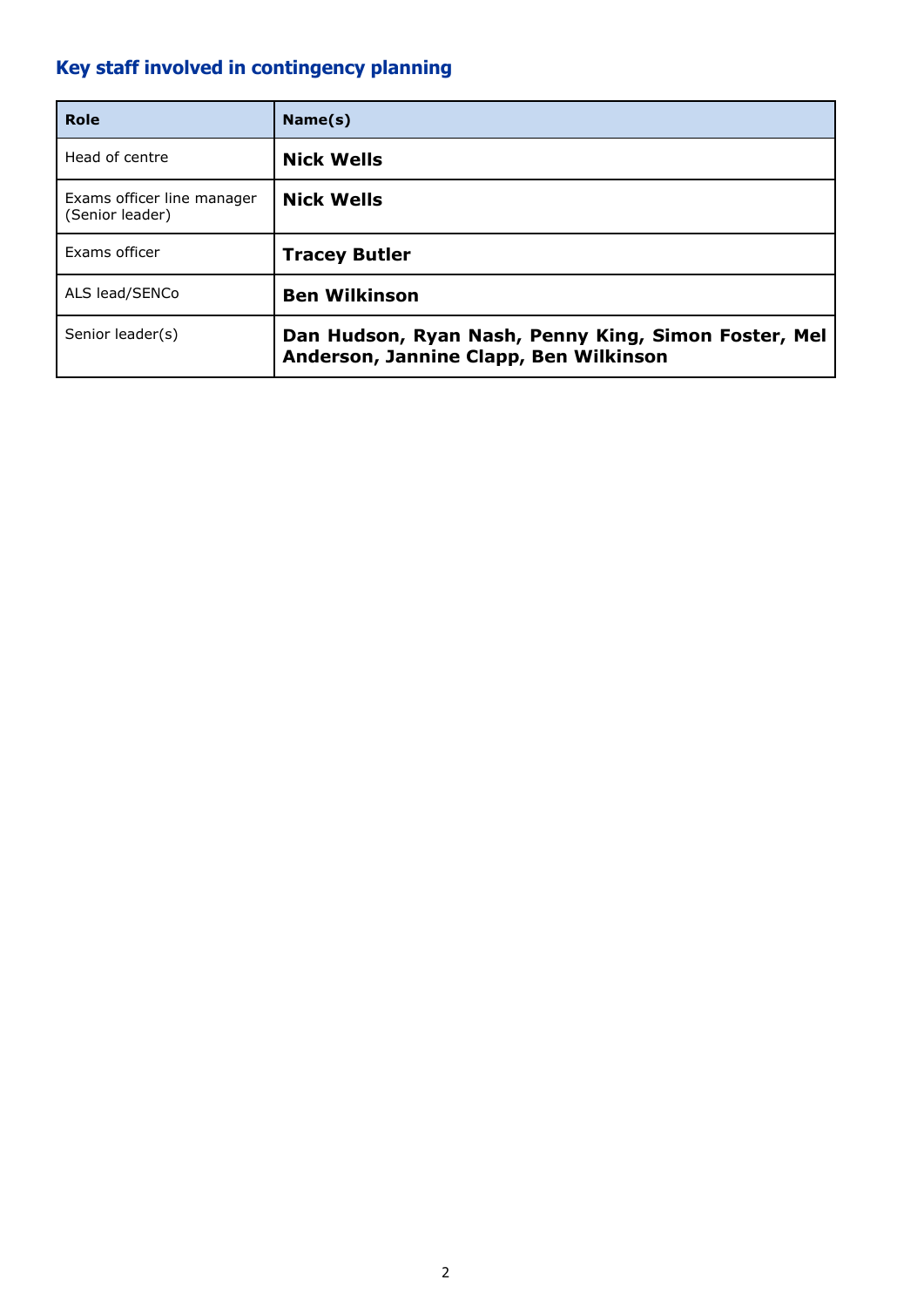## <span id="page-1-0"></span>**Key staff involved in contingency planning**

| Role                                          | Name(s)                                                                                        |
|-----------------------------------------------|------------------------------------------------------------------------------------------------|
| Head of centre                                | <b>Nick Wells</b>                                                                              |
| Exams officer line manager<br>(Senior leader) | <b>Nick Wells</b>                                                                              |
| Exams officer                                 | <b>Tracey Butler</b>                                                                           |
| ALS lead/SENCo                                | <b>Ben Wilkinson</b>                                                                           |
| Senior leader(s)                              | Dan Hudson, Ryan Nash, Penny King, Simon Foster, Mel<br>Anderson, Jannine Clapp, Ben Wilkinson |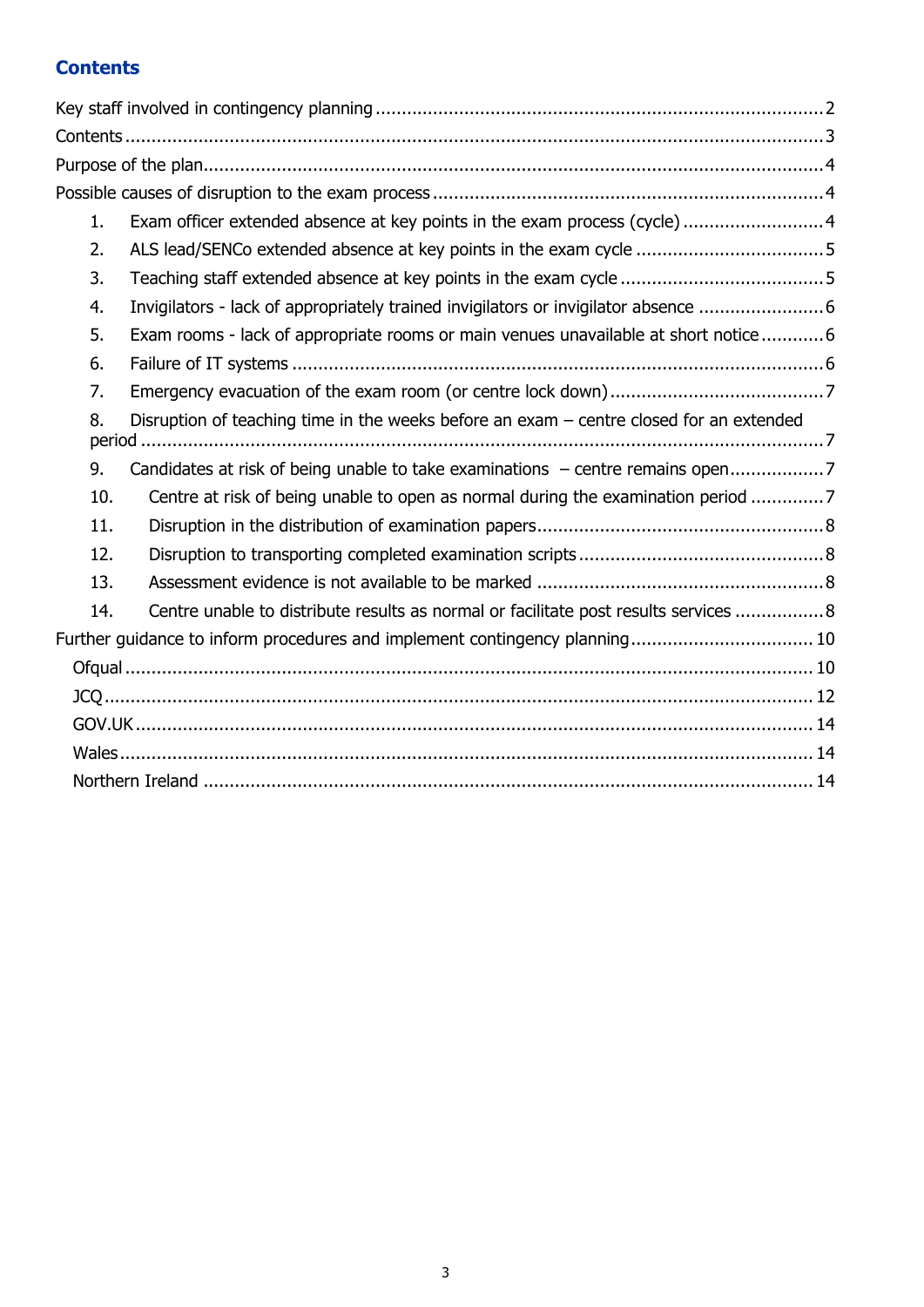## <span id="page-2-0"></span>**Contents**

| 1.            | Exam officer extended absence at key points in the exam process (cycle)4                  |  |
|---------------|-------------------------------------------------------------------------------------------|--|
| 2.            |                                                                                           |  |
| 3.            |                                                                                           |  |
| 4.            | Invigilators - lack of appropriately trained invigilators or invigilator absence  6       |  |
| 5.            | Exam rooms - lack of appropriate rooms or main venues unavailable at short notice6        |  |
| 6.            |                                                                                           |  |
| 7.            |                                                                                           |  |
| 8.<br>period. | Disruption of teaching time in the weeks before an exam $-$ centre closed for an extended |  |
| 9.            | Candidates at risk of being unable to take examinations - centre remains open7            |  |
| 10.           | Centre at risk of being unable to open as normal during the examination period            |  |
| 11.           |                                                                                           |  |
| 12.           |                                                                                           |  |
| 13.           |                                                                                           |  |
| 14.           | Centre unable to distribute results as normal or facilitate post results services  8      |  |
|               | Further guidance to inform procedures and implement contingency planning 10               |  |
|               |                                                                                           |  |
|               |                                                                                           |  |
|               |                                                                                           |  |
|               |                                                                                           |  |
|               |                                                                                           |  |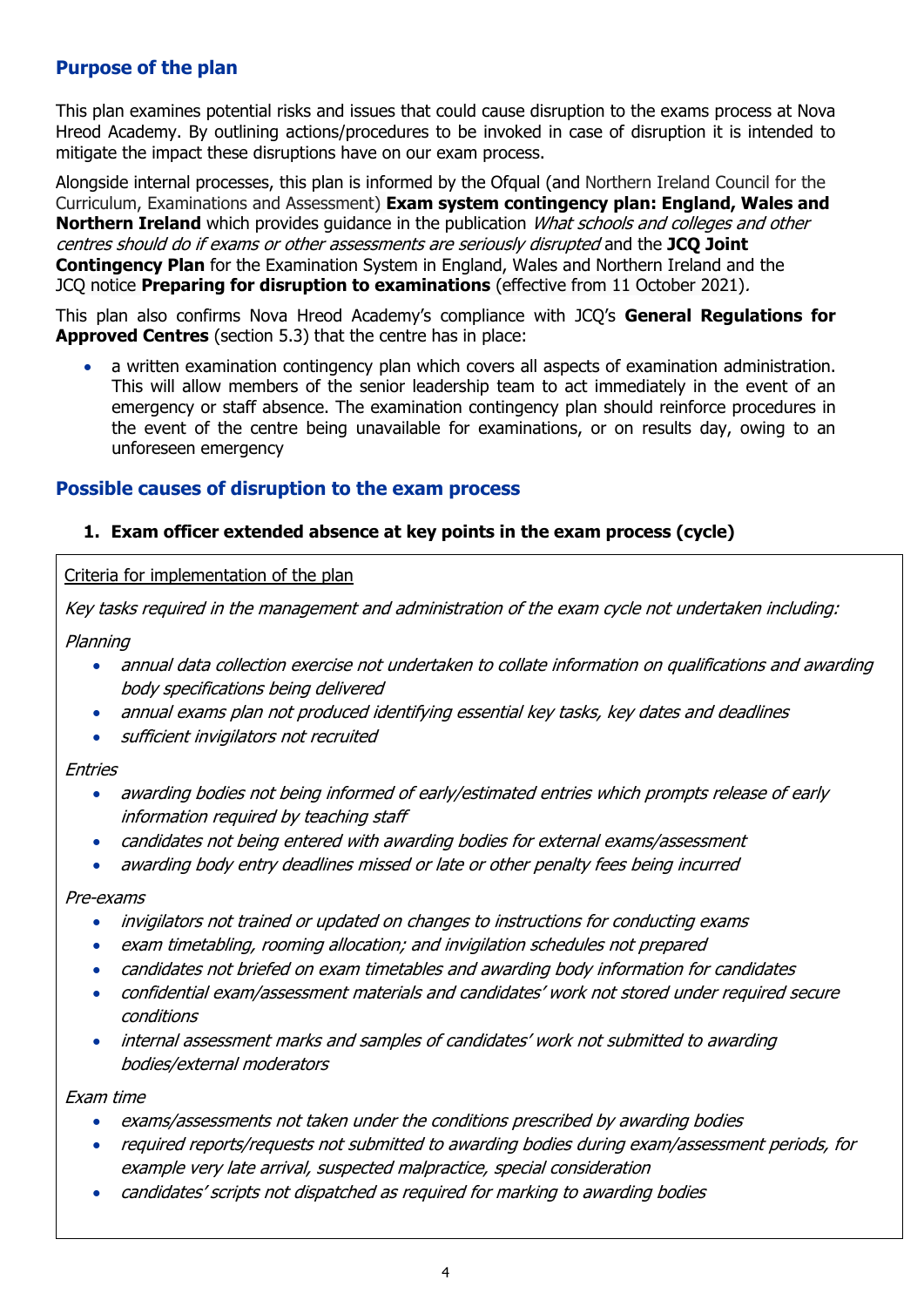## <span id="page-3-0"></span>**Purpose of the plan**

This plan examines potential risks and issues that could cause disruption to the exams process at Nova Hreod Academy. By outlining actions/procedures to be invoked in case of disruption it is intended to mitigate the impact these disruptions have on our exam process.

Alongside internal processes, this plan is informed by the Ofqual (and Northern Ireland Council for the Curriculum, Examinations and Assessment) **Exam system contingency plan: England, Wales and Northern Ireland** which provides guidance in the publication *What schools and colleges and other* centres should do if exams or other assessments are seriously disrupted and the **JCQ Joint Contingency Plan** for the Examination System in England, Wales and Northern Ireland and the JCQ notice **Preparing for disruption to examinations** (effective from 11 October 2021).

This plan also confirms Nova Hreod Academy's compliance with JCQ's **General Regulations for Approved Centres** (section 5.3) that the centre has in place:

• a written examination contingency plan which covers all aspects of examination administration. This will allow members of the senior leadership team to act immediately in the event of an emergency or staff absence. The examination contingency plan should reinforce procedures in the event of the centre being unavailable for examinations, or on results day, owing to an unforeseen emergency

## <span id="page-3-1"></span>**Possible causes of disruption to the exam process**

## <span id="page-3-2"></span>**1. Exam officer extended absence at key points in the exam process (cycle)**

Criteria for implementation of the plan

Key tasks required in the management and administration of the exam cycle not undertaken including:

Planning

- annual data collection exercise not undertaken to collate information on qualifications and awarding body specifications being delivered
- annual exams plan not produced identifying essential key tasks, key dates and deadlines
- sufficient invigilators not recruited

Entries

- awarding bodies not being informed of early/estimated entries which prompts release of early information required by teaching staff
- candidates not being entered with awarding bodies for external exams/assessment
- awarding body entry deadlines missed or late or other penalty fees being incurred

#### Pre-exams

- invigilators not trained or updated on changes to instructions for conducting exams
- exam timetabling, rooming allocation; and invigilation schedules not prepared
- candidates not briefed on exam timetables and awarding body information for candidates
- confidential exam/assessment materials and candidates' work not stored under required secure conditions
- internal assessment marks and samples of candidates' work not submitted to awarding bodies/external moderators

Exam time

- exams/assessments not taken under the conditions prescribed by awarding bodies
- required reports/requests not submitted to awarding bodies during exam/assessment periods, for example very late arrival, suspected malpractice, special consideration
- candidates' scripts not dispatched as required for marking to awarding bodies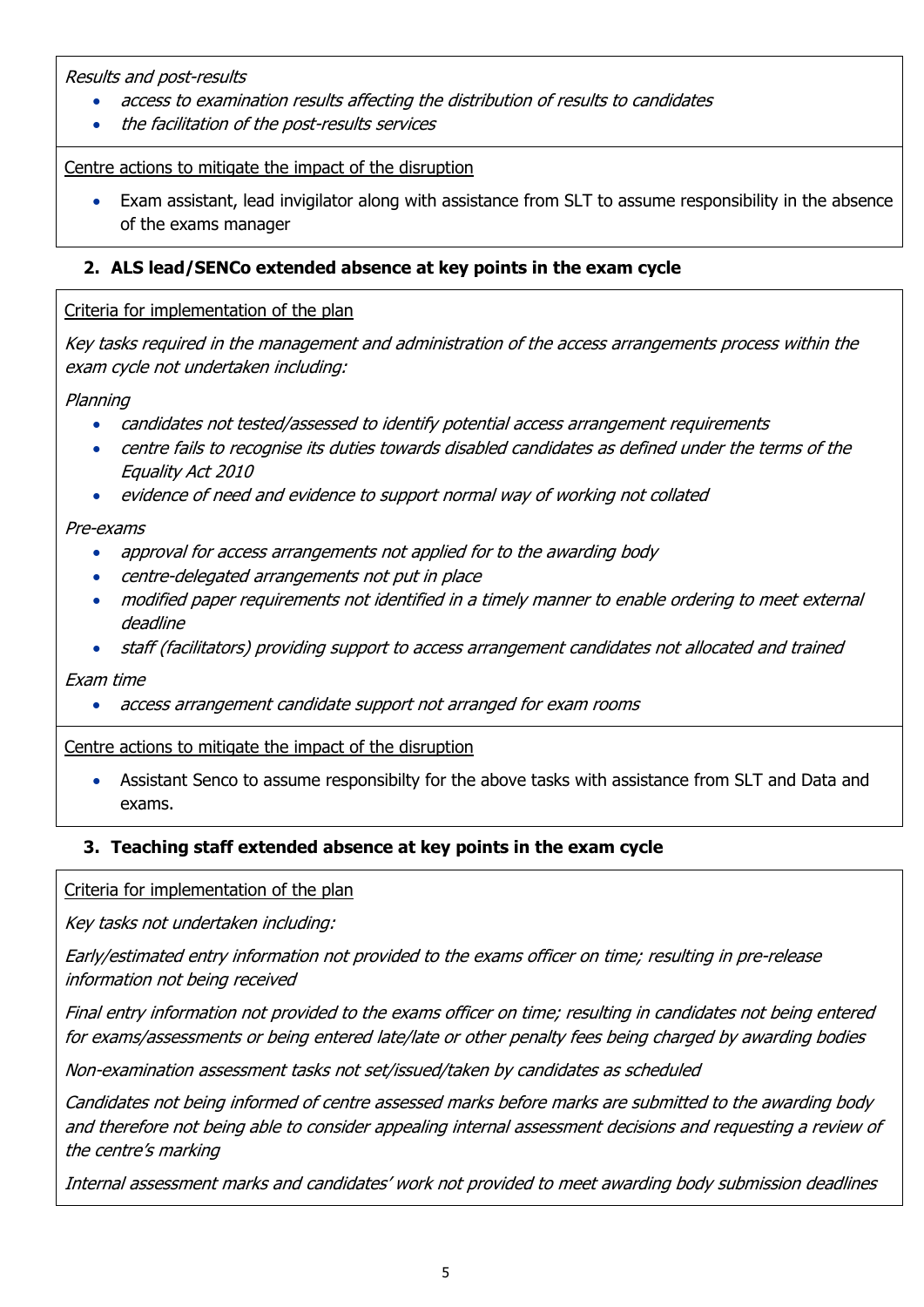Results and post-results

- access to examination results affecting the distribution of results to candidates
- the facilitation of the post-results services

Centre actions to mitigate the impact of the disruption

• Exam assistant, lead invigilator along with assistance from SLT to assume responsibility in the absence of the exams manager

## <span id="page-4-0"></span>**2. ALS lead/SENCo extended absence at key points in the exam cycle**

## Criteria for implementation of the plan

Key tasks required in the management and administration of the access arrangements process within the exam cycle not undertaken including:

## Planning

- candidates not tested/assessed to identify potential access arrangement requirements
- centre fails to recognise its duties towards disabled candidates as defined under the terms of the Equality Act 2010
- evidence of need and evidence to support normal way of working not collated

Pre-exams

- approval for access arrangements not applied for to the awarding body
- centre-delegated arrangements not put in place
- modified paper requirements not identified in a timely manner to enable ordering to meet external deadline
- staff (facilitators) providing support to access arrangement candidates not allocated and trained

Exam time

• access arrangement candidate support not arranged for exam rooms

Centre actions to mitigate the impact of the disruption

• Assistant Senco to assume responsibilty for the above tasks with assistance from SLT and Data and exams.

## <span id="page-4-1"></span>**3. Teaching staff extended absence at key points in the exam cycle**

Criteria for implementation of the plan

Key tasks not undertaken including:

Early/estimated entry information not provided to the exams officer on time; resulting in pre-release information not being received

Final entry information not provided to the exams officer on time; resulting in candidates not being entered for exams/assessments or being entered late/late or other penalty fees being charged by awarding bodies

Non-examination assessment tasks not set/issued/taken by candidates as scheduled

Candidates not being informed of centre assessed marks before marks are submitted to the awarding body and therefore not being able to consider appealing internal assessment decisions and requesting a review of the centre's marking

Internal assessment marks and candidates' work not provided to meet awarding body submission deadlines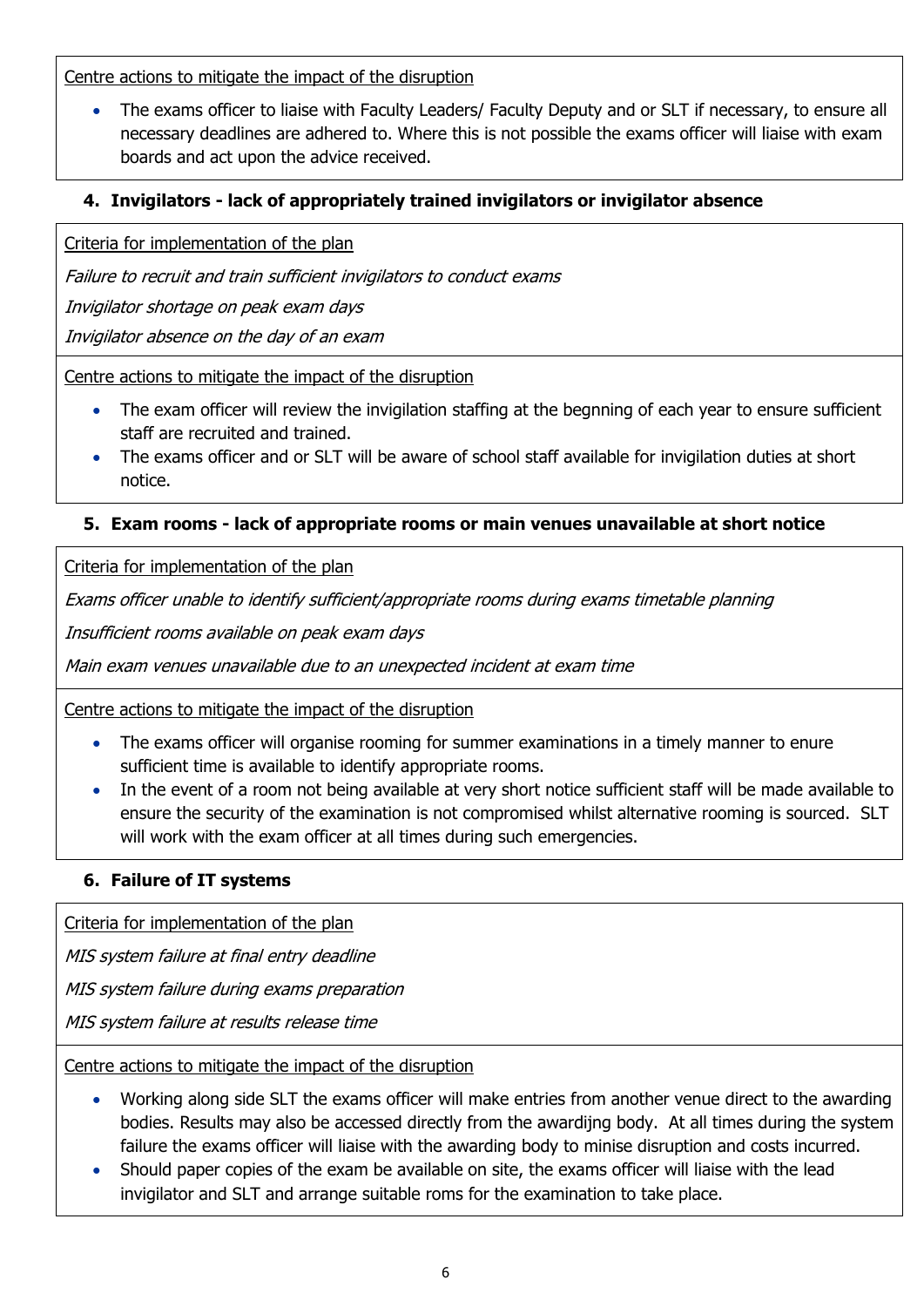Centre actions to mitigate the impact of the disruption

• The exams officer to liaise with Faculty Leaders/ Faculty Deputy and or SLT if necessary, to ensure all necessary deadlines are adhered to. Where this is not possible the exams officer will liaise with exam boards and act upon the advice received.

## <span id="page-5-0"></span>**4. Invigilators - lack of appropriately trained invigilators or invigilator absence**

Criteria for implementation of the plan

Failure to recruit and train sufficient invigilators to conduct exams

Invigilator shortage on peak exam days

Invigilator absence on the day of an exam

Centre actions to mitigate the impact of the disruption

- The exam officer will review the invigilation staffing at the begnning of each year to ensure sufficient staff are recruited and trained.
- The exams officer and or SLT will be aware of school staff available for invigilation duties at short notice.

## <span id="page-5-1"></span>**5. Exam rooms - lack of appropriate rooms or main venues unavailable at short notice**

Criteria for implementation of the plan

Exams officer unable to identify sufficient/appropriate rooms during exams timetable planning

Insufficient rooms available on peak exam days

Main exam venues unavailable due to an unexpected incident at exam time

Centre actions to mitigate the impact of the disruption

- The exams officer will organise rooming for summer examinations in a timely manner to enure sufficient time is available to identify appropriate rooms.
- In the event of a room not being available at very short notice sufficient staff will be made available to ensure the security of the examination is not compromised whilst alternative rooming is sourced. SLT will work with the exam officer at all times during such emergencies.

## <span id="page-5-2"></span>**6. Failure of IT systems**

Criteria for implementation of the plan

MIS system failure at final entry deadline

MIS system failure during exams preparation

MIS system failure at results release time

Centre actions to mitigate the impact of the disruption

- Working along side SLT the exams officer will make entries from another venue direct to the awarding bodies. Results may also be accessed directly from the awardijng body. At all times during the system failure the exams officer will liaise with the awarding body to minise disruption and costs incurred.
- Should paper copies of the exam be available on site, the exams officer will liaise with the lead invigilator and SLT and arrange suitable roms for the examination to take place.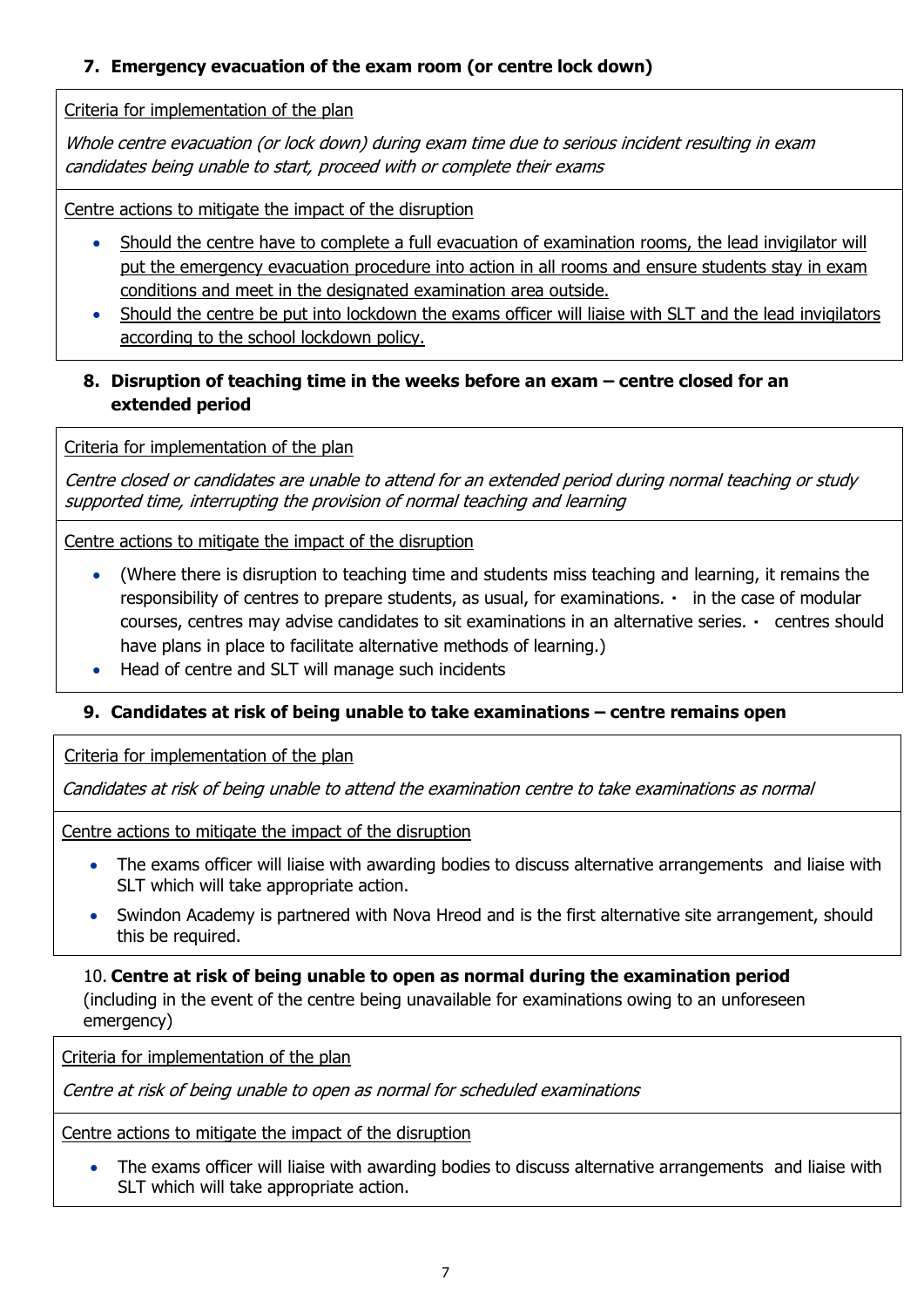## <span id="page-6-0"></span>**7. Emergency evacuation of the exam room (or centre lock down)**

Criteria for implementation of the plan

Whole centre evacuation (or lock down) during exam time due to serious incident resulting in exam candidates being unable to start, proceed with or complete their exams

Centre actions to mitigate the impact of the disruption

- Should the centre have to complete a full evacuation of examination rooms, the lead invigilator will put the emergency evacuation procedure into action in all rooms and ensure students stay in exam conditions and meet in the designated examination area outside.
- Should the centre be put into lockdown the exams officer will liaise with SLT and the lead invigilators according to the school lockdown policy.

## <span id="page-6-1"></span>8. Disruption of teaching time in the weeks before an exam – centre closed for an **extended period**

Criteria for implementation of the plan

Centre closed or candidates are unable to attend for an extended period during normal teaching or study supported time, interrupting the provision of normal teaching and learning

Centre actions to mitigate the impact of the disruption

- (Where there is disruption to teaching time and students miss teaching and learning, it remains the responsibility of centres to prepare students, as usual, for examinations.  $\cdot$  in the case of modular courses, centres may advise candidates to sit examinations in an alternative series. centres should have plans in place to facilitate alternative methods of learning.)
- Head of centre and SLT will manage such incidents

## <span id="page-6-2"></span>**9. Candidates at risk of being unable to take examinations – centre remains open**

Criteria for implementation of the plan

Candidates at risk of being unable to attend the examination centre to take examinations as normal

Centre actions to mitigate the impact of the disruption

- The exams officer will liaise with awarding bodies to discuss alternative arrangements and liaise with SLT which will take appropriate action.
- Swindon Academy is partnered with Nova Hreod and is the first alternative site arrangement, should this be required.

<span id="page-6-3"></span>10. **Centre at risk of being unable to open as normal during the examination period**  (including in the event of the centre being unavailable for examinations owing to an unforeseen emergency)

Criteria for implementation of the plan

Centre at risk of being unable to open as normal for scheduled examinations

Centre actions to mitigate the impact of the disruption

• The exams officer will liaise with awarding bodies to discuss alternative arrangements and liaise with SLT which will take appropriate action.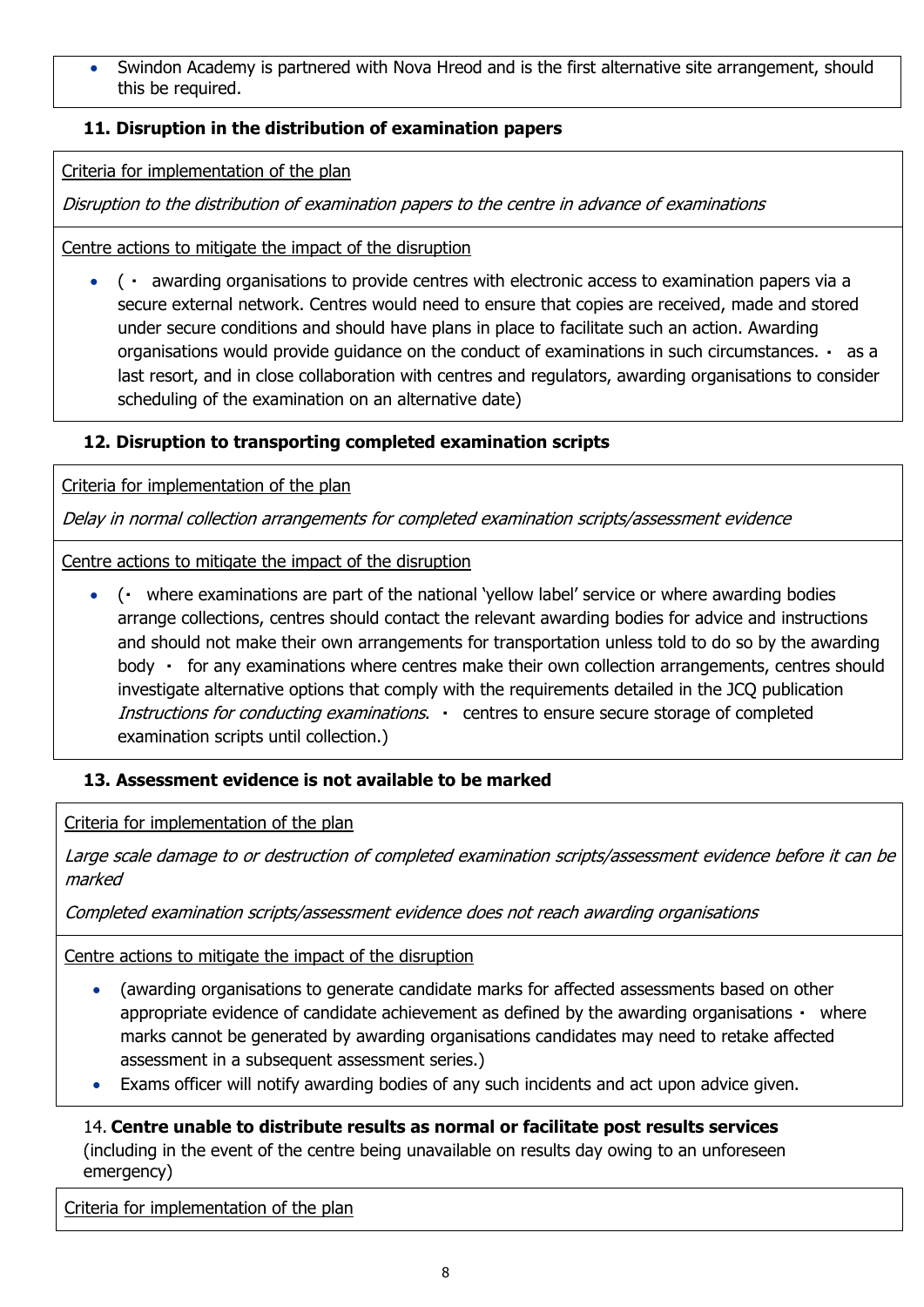Swindon Academy is partnered with Nova Hreod and is the first alternative site arrangement, should this be required.

## <span id="page-7-0"></span>**11. Disruption in the distribution of examination papers**

Criteria for implementation of the plan

Disruption to the distribution of examination papers to the centre in advance of examinations

Centre actions to mitigate the impact of the disruption

 $\bullet$  ( awarding organisations to provide centres with electronic access to examination papers via a secure external network. Centres would need to ensure that copies are received, made and stored under secure conditions and should have plans in place to facilitate such an action. Awarding organisations would provide guidance on the conduct of examinations in such circumstances. as a last resort, and in close collaboration with centres and regulators, awarding organisations to consider scheduling of the examination on an alternative date)

## <span id="page-7-1"></span>**12. Disruption to transporting completed examination scripts**

Criteria for implementation of the plan

Delay in normal collection arrangements for completed examination scripts/assessment evidence

Centre actions to mitigate the impact of the disruption

• (• where examinations are part of the national 'yellow label' service or where awarding bodies arrange collections, centres should contact the relevant awarding bodies for advice and instructions and should not make their own arrangements for transportation unless told to do so by the awarding body  $\cdot$  for any examinations where centres make their own collection arrangements, centres should investigate alternative options that comply with the requirements detailed in the JCQ publication Instructions for conducting examinations. . centres to ensure secure storage of completed examination scripts until collection.)

## <span id="page-7-2"></span>**13. Assessment evidence is not available to be marked**

Criteria for implementation of the plan

Large scale damage to or destruction of completed examination scripts/assessment evidence before it can be marked

Completed examination scripts/assessment evidence does not reach awarding organisations

Centre actions to mitigate the impact of the disruption

- (awarding organisations to generate candidate marks for affected assessments based on other appropriate evidence of candidate achievement as defined by the awarding organisations • where marks cannot be generated by awarding organisations candidates may need to retake affected assessment in a subsequent assessment series.)
- Exams officer will notify awarding bodies of any such incidents and act upon advice given.

<span id="page-7-3"></span>14. **Centre unable to distribute results as normal or facilitate post results services**  (including in the event of the centre being unavailable on results day owing to an unforeseen emergency)

Criteria for implementation of the plan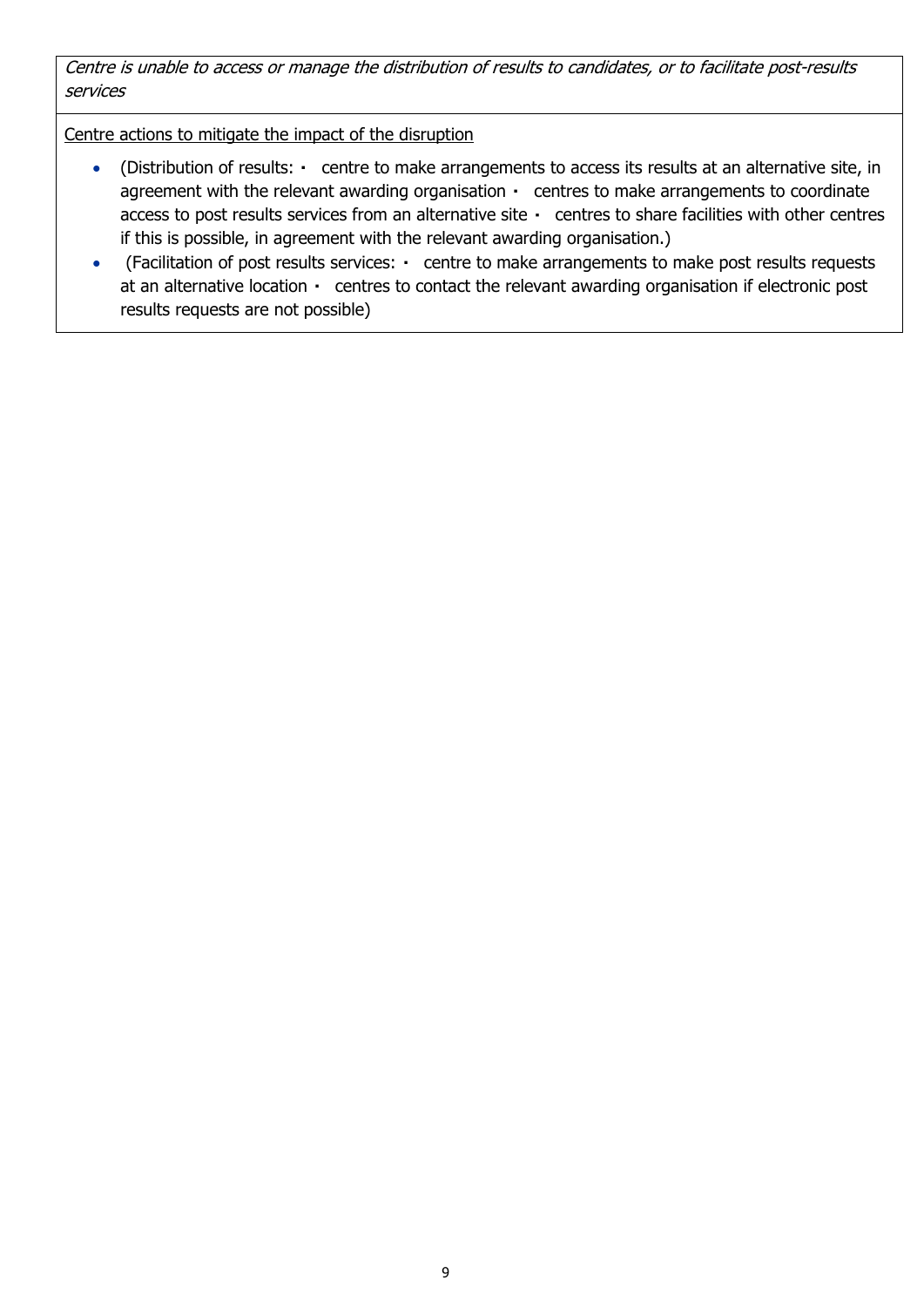Centre is unable to access or manage the distribution of results to candidates, or to facilitate post-results services

Centre actions to mitigate the impact of the disruption

- (Distribution of results: centre to make arrangements to access its results at an alternative site, in agreement with the relevant awarding organisation  $\cdot$  centres to make arrangements to coordinate access to post results services from an alternative site centres to share facilities with other centres if this is possible, in agreement with the relevant awarding organisation.)
- (Facilitation of post results services: centre to make arrangements to make post results requests at an alternative location centres to contact the relevant awarding organisation if electronic post results requests are not possible)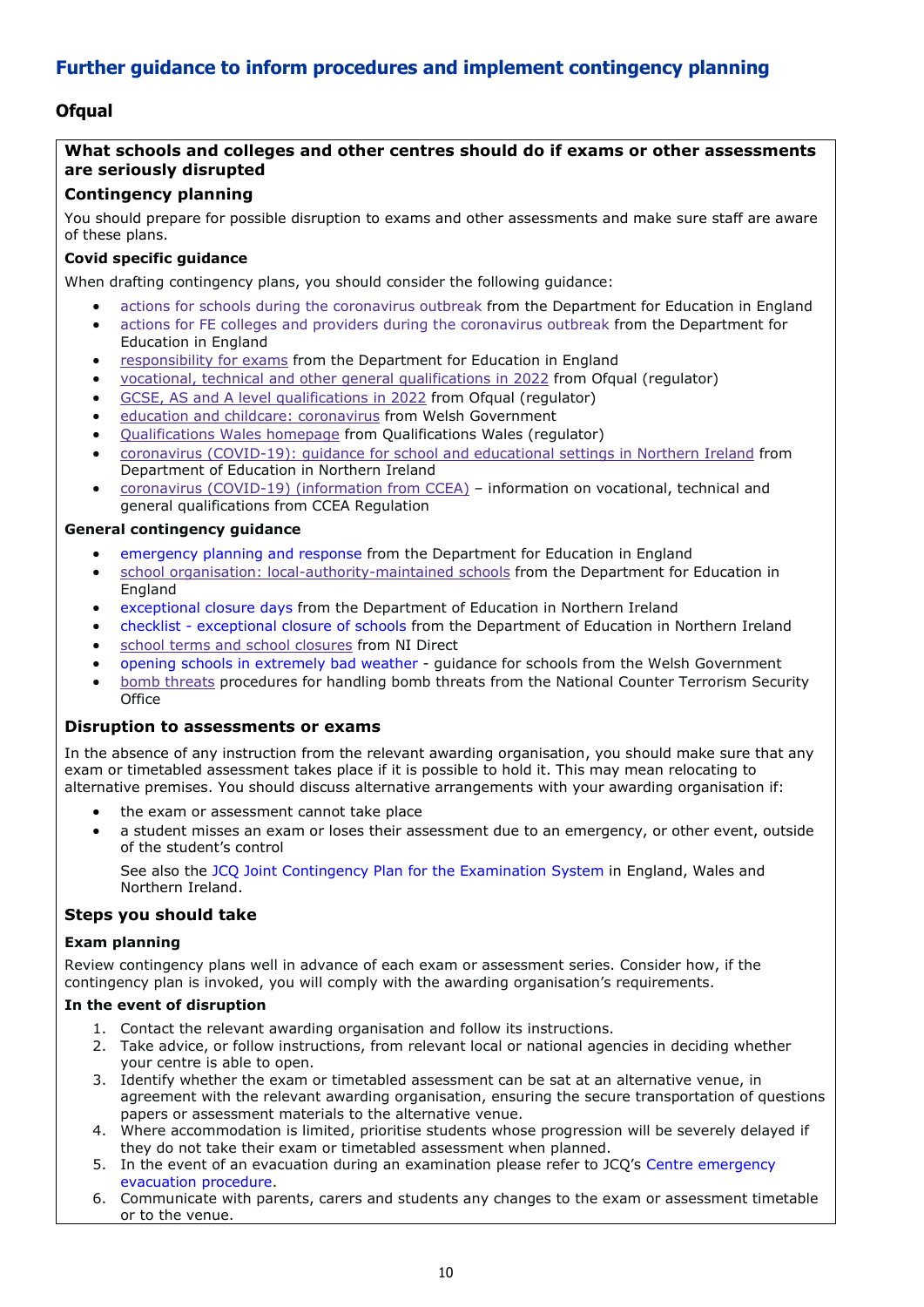## <span id="page-9-0"></span>**Further guidance to inform procedures and implement contingency planning**

## <span id="page-9-1"></span>**Ofqual**

#### **What schools and colleges and other centres should do if exams or other assessments are seriously disrupted**

#### **Contingency planning**

You should prepare for possible disruption to exams and other assessments and make sure staff are aware of these plans.

#### **Covid specific guidance**

When drafting contingency plans, you should consider the following guidance:

- actions for schools during the [coronavirus](https://www.gov.uk/government/publications/actions-for-schools-during-the-coronavirus-outbreak) outbreak from the Department for Education in England
- actions for FE colleges and providers during the [coronavirus](https://www.gov.uk/government/publications/coronavirus-covid-19-maintaining-further-education-provision) outbreak from the Department for Education in England
- [responsibility](https://www.gov.uk/government/publications/responsibility-for-autumn-gcse-as-and-a-level-exam-series) for exams from the Department for Education in England
- vocational, technical and other general [qualifications](https://www.gov.uk/government/collections/vocational-technical-and-other-general-qualifications-in-2022) in 2022 from Ofqual (regulator)
- GCSE, AS and A level [qualifications](https://www.gov.uk/government/collections/gcse-as-and-a-level-qualifications-in-2022) in 2022 from Ofqual (regulator)
- education and childcare: [coronavirus](https://gov.wales/education-coronavirus) from Welsh Government
- [Qualifications](https://www.qualificationswales.org/english/) Wales homepage from Qualifications Wales (regulator)
- coronavirus [\(COVID-19\):](https://www.education-ni.gov.uk/publications/coronavirus-covid-19-guidance-school-and-educational-settings-northern-ireland) guidance for school and educational settings in Northern Ireland from Department of Education in Northern Ireland
- coronavirus (COVID-19) [\(information](https://ccea.org.uk/regulation/coronavirus) from CCEA) information on vocational, technical and general qualifications from CCEA Regulation

#### **General contingency guidance**

- [emergency](https://www.gov.uk/guidance/emergencies-and-severe-weather-schools-and-early-years-settings) planning and response from the Department for Education in England
- school organisation: [local-authority-maintained](https://www.gov.uk/government/publications/school-organisation-maintained-schools) schools from the Department for Education in England
- [exceptional](https://www.education-ni.gov.uk/articles/exceptional-closure-days) closure days from the Department of Education in Northern Ireland
- checklist [exceptional](https://www.education-ni.gov.uk/publications/checklist-exceptional-closure-schools) closure of schools from the Department of Education in Northern Ireland
- school terms and school [closures](https://www.nidirect.gov.uk/articles/school-terms-and-school-closures) from NI Direct
- opening schools in [extremely](https://gov.wales/opening-schools-extremely-bad-weather-guidance-schools) bad weather guidance for schools from the Welsh Government
- bomb [threats](https://www.gov.uk/government/publications/crowded-places-guidance/bomb-threats) procedures for handling bomb threats from the National Counter Terrorism Security **Office**

#### **Disruption to assessments or exams**

In the absence of any instruction from the relevant awarding organisation, you should make sure that any exam or timetabled assessment takes place if it is possible to hold it. This may mean relocating to alternative premises. You should discuss alternative arrangements with your awarding organisation if:

- the exam or assessment cannot take place
- a student misses an exam or loses their assessment due to an emergency, or other event, outside of the student's control

See also the JCQ Joint Contingency Plan for the [Examination](https://www.jcq.org.uk/exams-office/other-documents/jcq-joint-contingency-plan/) System in England, Wales and Northern Ireland.

#### **Steps you should take**

#### **Exam planning**

Review contingency plans well in advance of each exam or assessment series. Consider how, if the contingency plan is invoked, you will comply with the awarding organisation's requirements.

#### **In the event of disruption**

- 1. Contact the relevant awarding organisation and follow its instructions.
- 2. Take advice, or follow instructions, from relevant local or national agencies in deciding whether your centre is able to open.
- 3. Identify whether the exam or timetabled assessment can be sat at an alternative venue, in agreement with the relevant awarding organisation, ensuring the secure transportation of questions papers or assessment materials to the alternative venue.
- 4. Where accommodation is limited, prioritise students whose progression will be severely delayed if they do not take their exam or timetabled assessment when planned.
- 5. In the event of an evacuation during an examination please refer to JCQ's Centre [emergency](https://www.jcq.org.uk/exams-office/ice---instructions-for-conducting-examinations/centre-emergency-evacuation-procedure) [evacuation](https://www.jcq.org.uk/exams-office/ice---instructions-for-conducting-examinations/centre-emergency-evacuation-procedure) procedure.
- 6. Communicate with parents, carers and students any changes to the exam or assessment timetable or to the venue.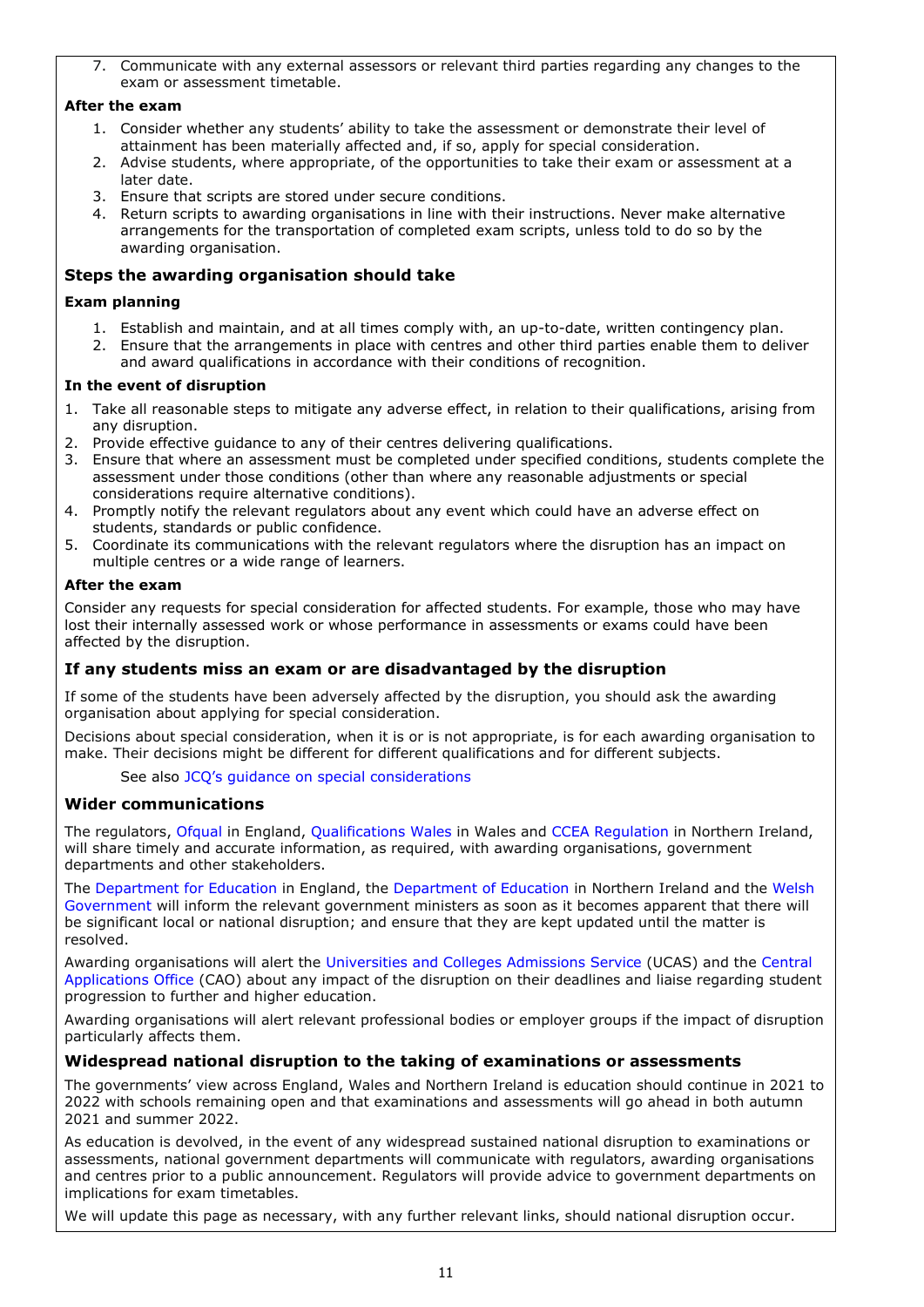7. Communicate with any external assessors or relevant third parties regarding any changes to the exam or assessment timetable.

#### **After the exam**

- 1. Consider whether any students' ability to take the assessment or demonstrate their level of attainment has been materially affected and, if so, apply for special consideration.
- 2. Advise students, where appropriate, of the opportunities to take their exam or assessment at a later date.
- 3. Ensure that scripts are stored under secure conditions.
- 4. Return scripts to awarding organisations in line with their instructions. Never make alternative arrangements for the transportation of completed exam scripts, unless told to do so by the awarding organisation.

#### **Steps the awarding organisation should take**

#### **Exam planning**

- 1. Establish and maintain, and at all times comply with, an up-to-date, written contingency plan.
- 2. Ensure that the arrangements in place with centres and other third parties enable them to deliver and award qualifications in accordance with their conditions of recognition.

#### **In the event of disruption**

- 1. Take all reasonable steps to mitigate any adverse effect, in relation to their qualifications, arising from any disruption.
- 2. Provide effective guidance to any of their centres delivering qualifications.
- 3. Ensure that where an assessment must be completed under specified conditions, students complete the assessment under those conditions (other than where any reasonable adjustments or special considerations require alternative conditions).
- 4. Promptly notify the relevant regulators about any event which could have an adverse effect on students, standards or public confidence.
- 5. Coordinate its communications with the relevant regulators where the disruption has an impact on multiple centres or a wide range of learners.

#### **After the exam**

Consider any requests for special consideration for affected students. For example, those who may have lost their internally assessed work or whose performance in assessments or exams could have been affected by the disruption.

#### **If any students miss an exam or are disadvantaged by the disruption**

If some of the students have been adversely affected by the disruption, you should ask the awarding organisation about applying for special consideration.

Decisions about special consideration, when it is or is not appropriate, is for each awarding organisation to make. Their decisions might be different for different qualifications and for different subjects.

See also JCO's quidance on special [considerations](https://www.jcq.org.uk/exams-office/access-arrangements-and-special-consideration/regulations-and-guidance)

#### **Wider communications**

The regulators, [Ofqual](https://www.gov.uk/ofqual) in England, [Qualifications](http://qualificationswales.org/) Wales in Wales and CCEA [Regulation](http://ccea.org.uk/) in Northern Ireland, will share timely and accurate information, as required, with awarding organisations, government departments and other stakeholders.

The [Department](https://www.gov.uk/government/organisations/department-for-education) for Education in England, the [Department](https://www.education-ni.gov.uk/) of Education in Northern Ireland and the [Welsh](http://gov.wales/topics/educationandskills/?lang=en) [Government](http://gov.wales/topics/educationandskills/?lang=en) will inform the relevant government ministers as soon as it becomes apparent that there will be significant local or national disruption; and ensure that they are kept updated until the matter is resolved.

Awarding organisations will alert the [Universities](https://www.ucas.com/) and Colleges Admissions Service (UCAS) and the [Central](http://www.cao.ie/) [Applications](http://www.cao.ie/) Office (CAO) about any impact of the disruption on their deadlines and liaise regarding student progression to further and higher education.

Awarding organisations will alert relevant professional bodies or employer groups if the impact of disruption particularly affects them.

#### **Widespread national disruption to the taking of examinations or assessments**

The governments' view across England, Wales and Northern Ireland is education should continue in 2021 to 2022 with schools remaining open and that examinations and assessments will go ahead in both autumn 2021 and summer 2022.

As education is devolved, in the event of any widespread sustained national disruption to examinations or assessments, national government departments will communicate with regulators, awarding organisations and centres prior to a public announcement. Regulators will provide advice to government departments on implications for exam timetables.

We will update this page as necessary, with any further relevant links, should national disruption occur.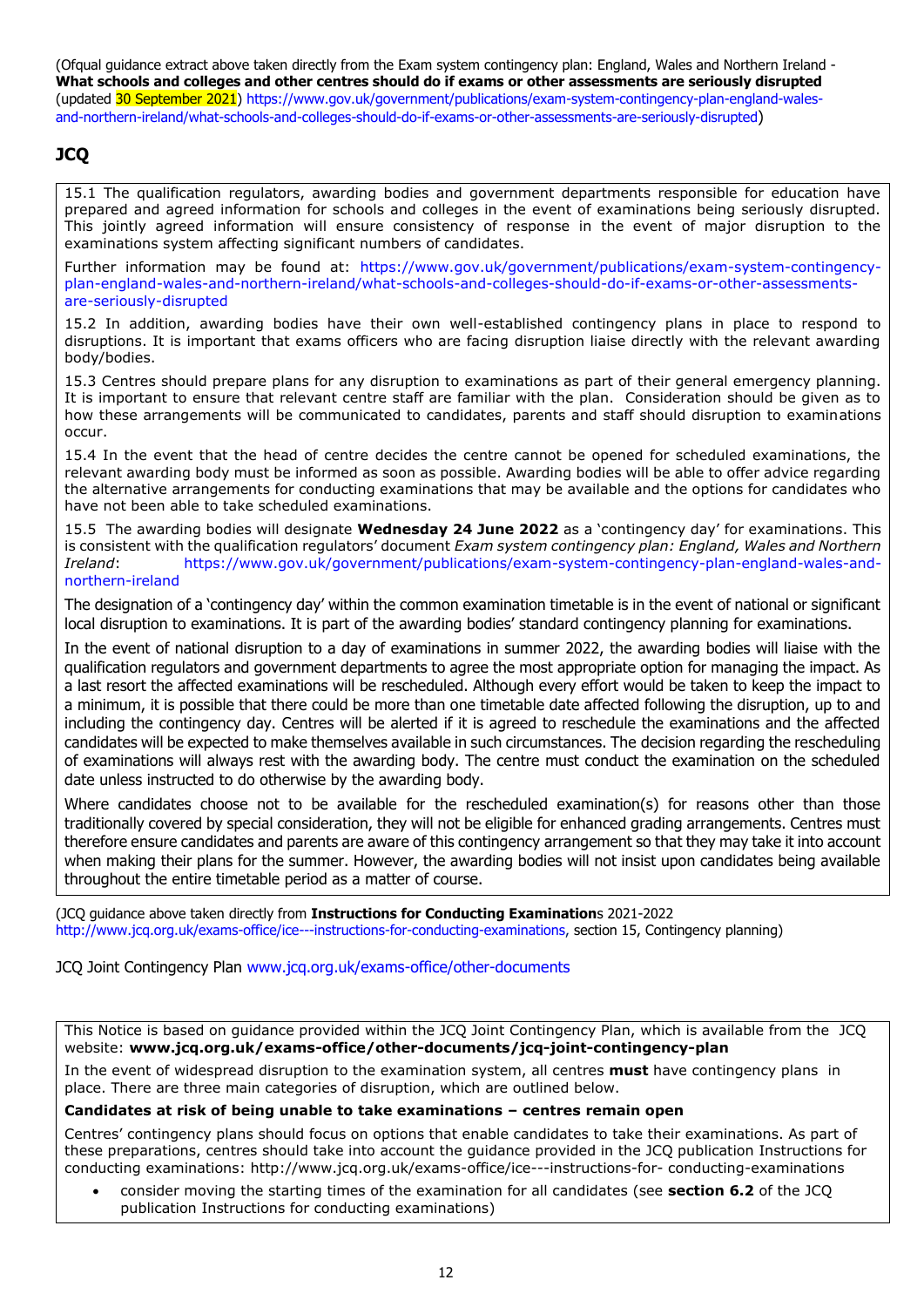(Ofqual guidance extract above taken directly from the Exam system contingency plan: England, Wales and Northern Ireland - **What schools and colleges and other centres should do if exams or other assessments are seriously disrupted** (updated 30 September 2021) [https://www.gov.uk/government/publications/exam-system-contingency-plan-england-wales](https://www.gov.uk/government/publications/exam-system-contingency-plan-england-wales-and-northern-ireland/what-schools-and-colleges-should-do-if-exams-or-other-assessments-are-seriously-disrupted)[and-northern-ireland/what-schools-and-colleges-should-do-if-exams-or-other-assessments-are-seriously-disrupted](https://www.gov.uk/government/publications/exam-system-contingency-plan-england-wales-and-northern-ireland/what-schools-and-colleges-should-do-if-exams-or-other-assessments-are-seriously-disrupted))

## <span id="page-11-0"></span>**JCQ**

15.1 The qualification regulators, awarding bodies and government departments responsible for education have prepared and agreed information for schools and colleges in the event of examinations being seriously disrupted. This jointly agreed information will ensure consistency of response in the event of major disruption to the examinations system affecting significant numbers of candidates.

Further information may be found at: [https://www.gov.uk/government/publications/exam-system-contingency](https://www.gov.uk/government/publications/exam-system-contingency-plan-england-wales-and-northern-ireland/what-schools-and-colleges-should-do-if-exams-or-other-assessments-are-seriously-disrupted)[plan-england-wales-and-northern-ireland/what-schools-and-colleges-should-do-if-exams-or-other-assessments](https://www.gov.uk/government/publications/exam-system-contingency-plan-england-wales-and-northern-ireland/what-schools-and-colleges-should-do-if-exams-or-other-assessments-are-seriously-disrupted)[are-seriously-disrupted](https://www.gov.uk/government/publications/exam-system-contingency-plan-england-wales-and-northern-ireland/what-schools-and-colleges-should-do-if-exams-or-other-assessments-are-seriously-disrupted)

15.2 In addition, awarding bodies have their own well-established contingency plans in place to respond to disruptions. It is important that exams officers who are facing disruption liaise directly with the relevant awarding body/bodies.

15.3 Centres should prepare plans for any disruption to examinations as part of their general emergency planning. It is important to ensure that relevant centre staff are familiar with the plan. Consideration should be given as to how these arrangements will be communicated to candidates, parents and staff should disruption to examinations occur.

15.4 In the event that the head of centre decides the centre cannot be opened for scheduled examinations, the relevant awarding body must be informed as soon as possible. Awarding bodies will be able to offer advice regarding the alternative arrangements for conducting examinations that may be available and the options for candidates who have not been able to take scheduled examinations.

15.5 The awarding bodies will designate **Wednesday 24 June 2022** as a 'contingency day' for examinations. This is consistent with the qualification regulators' document *Exam system contingency plan: England, Wales and Northern Ireland*: [https://www.gov.uk/government/publications/exam-system-contingency-plan-england-wales-and](https://www.gov.uk/government/publications/exam-system-contingency-plan-england-wales-and-northern-ireland)[northern-ireland](https://www.gov.uk/government/publications/exam-system-contingency-plan-england-wales-and-northern-ireland)

The designation of a 'contingency day' within the common examination timetable is in the event of national or significant local disruption to examinations. It is part of the awarding bodies' standard contingency planning for examinations.

In the event of national disruption to a day of examinations in summer 2022, the awarding bodies will liaise with the qualification regulators and government departments to agree the most appropriate option for managing the impact. As a last resort the affected examinations will be rescheduled. Although every effort would be taken to keep the impact to a minimum, it is possible that there could be more than one timetable date affected following the disruption, up to and including the contingency day. Centres will be alerted if it is agreed to reschedule the examinations and the affected candidates will be expected to make themselves available in such circumstances. The decision regarding the rescheduling of examinations will always rest with the awarding body. The centre must conduct the examination on the scheduled date unless instructed to do otherwise by the awarding body.

Where candidates choose not to be available for the rescheduled examination(s) for reasons other than those traditionally covered by special consideration, they will not be eligible for enhanced grading arrangements. Centres must therefore ensure candidates and parents are aware of this contingency arrangement so that they may take it into account when making their plans for the summer. However, the awarding bodies will not insist upon candidates being available throughout the entire timetable period as a matter of course.

(JCQ guidance above taken directly from **Instructions for Conducting Examination**s 2021-2022 [http://www.jcq.org.uk/exams-office/ice---instructions-for-conducting-examinations,](http://www.jcq.org.uk/exams-office/ice---instructions-for-conducting-examinations) section 15, Contingency planning)

#### JCQ Joint Contingency Plan [www.jcq.org.uk/exams-office/other-documents](http://www.jcq.org.uk/exams-office/other-documents)

This Notice is based on guidance provided within the JCQ Joint Contingency Plan, which is available from the JCQ website: **[www.jcq.org.uk/exams-office/other-documents/jcq-joint-contingency-plan](https://www.jcq.org.uk/exams-office/other-documents/jcq-joint-contingency-plan)**

In the event of widespread disruption to the examination system, all centres **must** have contingency plans in place. There are three main categories of disruption, which are outlined below.

#### **Candidates at risk of being unable to take examinations – centres remain open**

Centres' contingency plans should focus on options that enable candidates to take their examinations. As part of these preparations, centres should take into account the guidance provided in the JCQ publication Instructions for conducting examinations: http://www.jcq.org.uk/exams-office/ice---instructions-for- conducting-examinations

• consider moving the starting times of the examination for all candidates (see **section 6.2** of the JCQ publication Instructions for conducting examinations)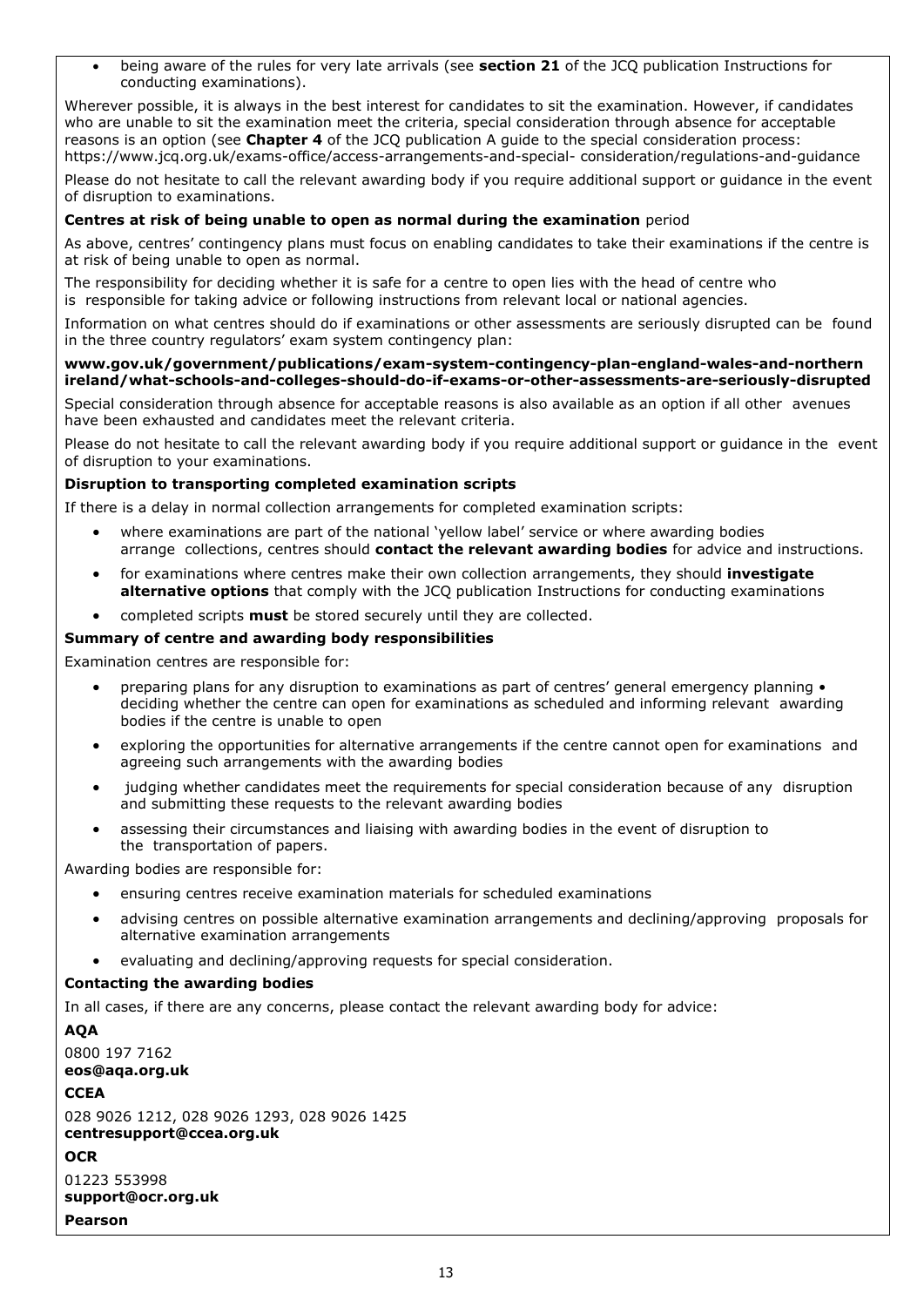• being aware of the rules for very late arrivals (see **section 21** of the JCQ publication Instructions for conducting examinations).

Wherever possible, it is always in the best interest for candidates to sit the examination. However, if candidates who are unable to sit the examination meet the criteria, special consideration through absence for acceptable reasons is an option (see **Chapter 4** of the JCQ publication A guide to the special consideration process: https://www.jcq.org.uk/exams-office/access-arrangements-and-special- consideration/regulations-and-guidance

Please do not hesitate to call the relevant awarding body if you require additional support or guidance in the event of disruption to examinations.

#### **Centres at risk of being unable to open as normal during the examination** period

As above, centres' contingency plans must focus on enabling candidates to take their examinations if the centre is at risk of being unable to open as normal.

The responsibility for deciding whether it is safe for a centre to open lies with the head of centre who is responsible for taking advice or following instructions from relevant local or national agencies.

Information on what centres should do if examinations or other assessments are seriously disrupted can be found in the three country regulators' exam system contingency plan:

#### **[www.gov.uk/government/publications/exam-system-contingency-plan-england-wales-and-northern](https://www.gov.uk/government/publications/exam-system-contingency-plan-england-wales-and-northern-ireland/what-schools-and-colleges-should-do-if-exams-or-other-assessments-are-seriously-disrupted)  [ireland/what-schools-and-colleges-should-do-if-exams-or-other-assessments-are-seriously-disrupted](https://www.gov.uk/government/publications/exam-system-contingency-plan-england-wales-and-northern-ireland/what-schools-and-colleges-should-do-if-exams-or-other-assessments-are-seriously-disrupted)**

Special consideration through absence for acceptable reasons is also available as an option if all other avenues have been exhausted and candidates meet the relevant criteria.

Please do not hesitate to call the relevant awarding body if you require additional support or guidance in the event of disruption to your examinations.

#### **Disruption to transporting completed examination scripts**

If there is a delay in normal collection arrangements for completed examination scripts:

- where examinations are part of the national 'yellow label' service or where awarding bodies arrange collections, centres should **contact the relevant awarding bodies** for advice and instructions.
- for examinations where centres make their own collection arrangements, they should **investigate alternative options** that comply with the JCQ publication Instructions for conducting examinations
- completed scripts **must** be stored securely until they are collected.

#### **Summary of centre and awarding body responsibilities**

Examination centres are responsible for:

- preparing plans for any disruption to examinations as part of centres' general emergency planning deciding whether the centre can open for examinations as scheduled and informing relevant awarding bodies if the centre is unable to open
- exploring the opportunities for alternative arrangements if the centre cannot open for examinations and agreeing such arrangements with the awarding bodies
- judging whether candidates meet the requirements for special consideration because of any disruption and submitting these requests to the relevant awarding bodies
- assessing their circumstances and liaising with awarding bodies in the event of disruption to the transportation of papers.

Awarding bodies are responsible for:

- ensuring centres receive examination materials for scheduled examinations
- advising centres on possible alternative examination arrangements and declining/approving proposals for alternative examination arrangements
- evaluating and declining/approving requests for special consideration.

#### **Contacting the awarding bodies**

In all cases, if there are any concerns, please contact the relevant awarding body for advice:

```
AQA
0800 197 7162
eos@aqa.org.uk
CCEA
028 9026 1212, 028 9026 1293, 028 9026 1425
centresupport@ccea.org.uk
OCR
01223 553998
support@ocr.org.uk
Pearson
```